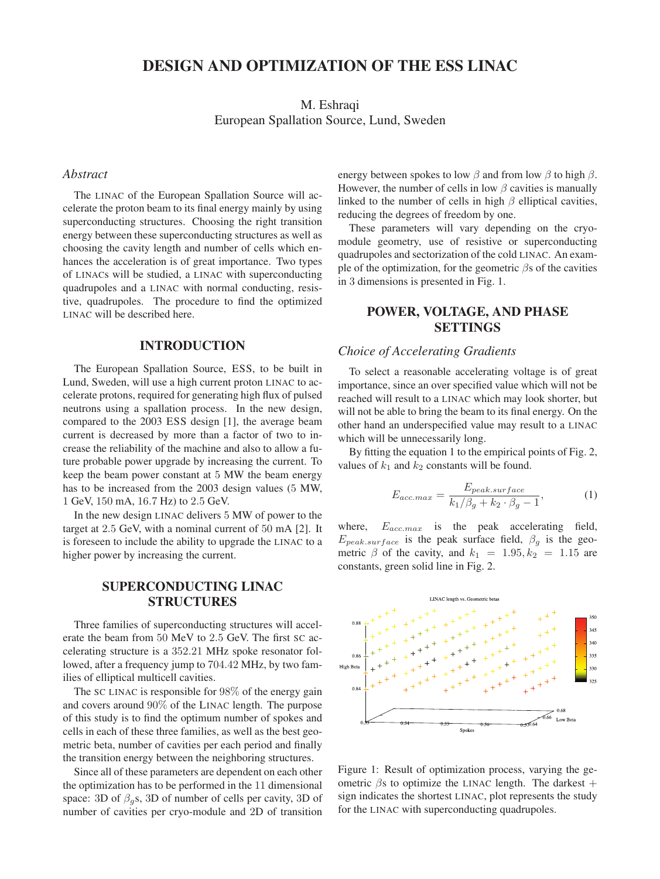# DESIGN AND OPTIMIZATION OF THE ESS LINAC

M. Eshraqi European Spallation Source, Lund, Sweden

#### *Abstract*

The LINAC of the European Spallation Source will accelerate the proton beam to its final energy mainly by using superconducting structures. Choosing the right transition energy between these superconducting structures as well as choosing the cavity length and number of cells which enhances the acceleration is of great importance. Two types of LINACs will be studied, a LINAC with superconducting quadrupoles and a LINAC with normal conducting, resistive, quadrupoles. The procedure to find the optimized LINAC will be described here.

## INTRODUCTION

The European Spallation Source, ESS, to be built in Lund, Sweden, will use a high current proton LINAC to accelerate protons, required for generating high flux of pulsed neutrons using a spallation process. In the new design, compared to the 2003 ESS design [1], the average beam current is decreased by more than a factor of two to increase the reliability of the machine and also to allow a future probable power upgrade by increasing the current. To keep the beam power constant at 5 MW the beam energy has to be increased from the 2003 design values (5 MW, <sup>1</sup> GeV, <sup>150</sup> mA, <sup>16</sup>.<sup>7</sup> Hz) to <sup>2</sup>.<sup>5</sup> GeV.

In the new design LINAC delivers 5 MW of power to the target at <sup>2</sup>.<sup>5</sup> GeV, with a nominal current of <sup>50</sup> mA [2]. It is foreseen to include the ability to upgrade the LINAC to a higher power by increasing the current.

# SUPERCONDUCTING LINAC STRUCTURES

Three families of superconducting structures will accelerate the beam from <sup>50</sup> MeV to <sup>2</sup>.<sup>5</sup> GeV. The first SC accelerating structure is a <sup>352</sup>.<sup>21</sup> MHz spoke resonator followed, after a frequency jump to <sup>704</sup>.<sup>42</sup> MHz, by two families of elliptical multicell cavities.

The SC LINAC is responsible for 98% of the energy gain and covers around 90% of the LINAC length. The purpose of this study is to find the optimum number of spokes and cells in each of these three families, as well as the best geometric beta, number of cavities per each period and finally the transition energy between the neighboring structures.

Since all of these parameters are dependent on each other the optimization has to be performed in the 11 dimensional space: 3D of  $\beta_g$ s, 3D of number of cells per cavity, 3D of number of cavities per cryo-module and 2D of transition energy between spokes to low  $\beta$  and from low  $\beta$  to high  $\beta$ . However, the number of cells in low  $\beta$  cavities is manually linked to the number of cells in high  $\beta$  elliptical cavities, reducing the degrees of freedom by one.

These parameters will vary depending on the cryomodule geometry, use of resistive or superconducting quadrupoles and sectorization of the cold LINAC. An example of the optimization, for the geometric  $\beta$ s of the cavities in 3 dimensions is presented in Fig. 1.

# POWER, VOLTAGE, AND PHASE SETTINGS

# *Choice of Accelerating Gradients*

To select a reasonable accelerating voltage is of great importance, since an over specified value which will not be reached will result to a LINAC which may look shorter, but will not be able to bring the beam to its final energy. On the other hand an underspecified value may result to a LINAC which will be unnecessarily long.

By fitting the equation 1 to the empirical points of Fig. 2, values of  $k_1$  and  $k_2$  constants will be found.

$$
E_{acc.max} = \frac{E_{peak,surface}}{k_1/\beta_g + k_2 \cdot \beta_g - 1},\tag{1}
$$

where,  $E_{acc.max}$  is the peak accelerating field,  $E_{peak,surface}$  is the peak surface field,  $\beta_g$  is the geometric  $\beta$  of the cavity, and  $k_1 = 1.95, k_2 = 1.15$  are constants, green solid line in Fig. 2.



Figure 1: Result of optimization process, varying the geometric  $\beta$ s to optimize the LINAC length. The darkest + sign indicates the shortest LINAC, plot represents the study for the LINAC with superconducting quadrupoles.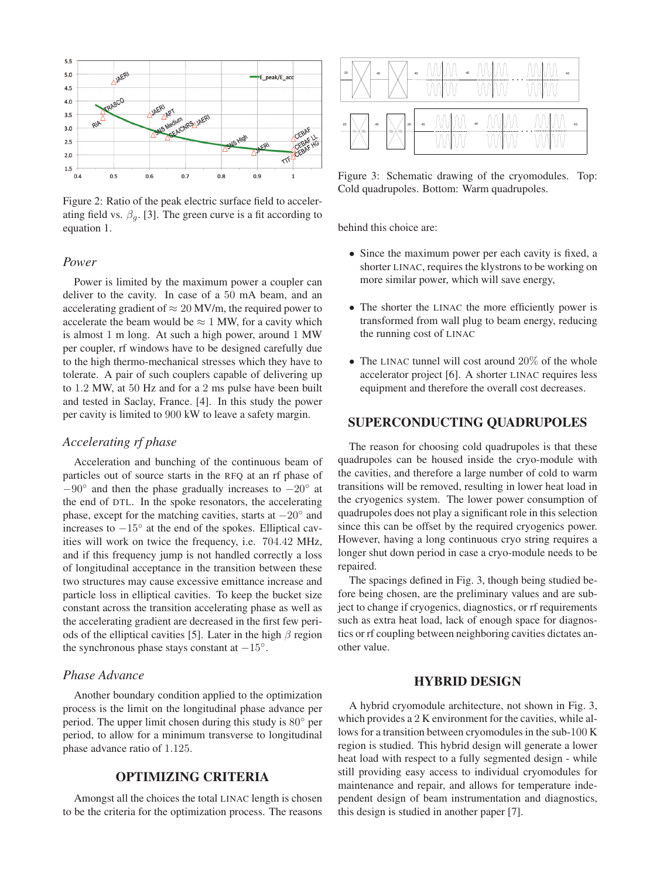

Figure 2: Ratio of the peak electric surface field to accelerating field vs.  $\beta_a$ . [3]. The green curve is a fit according to equation 1.

## *Power*

Power is limited by the maximum power a coupler can deliver to the cavity. In case of a 50 mA beam, and an accelerating gradient of  $\approx 20$  MV/m, the required power to accelerate the beam would be  $\approx 1$  MW, for a cavity which is almost 1 m long. At such a high power, around 1 MW per coupler, rf windows have to be designed carefully due to the high thermo-mechanical stresses which they have to tolerate. A pair of such couplers capable of delivering up to <sup>1</sup>.<sup>2</sup> MW, at <sup>50</sup> Hz and for a <sup>2</sup> ms pulse have been built and tested in Saclay, France. [4]. In this study the power per cavity is limited to 900 kW to leave a safety margin.

## *Accelerating rf phase*

Acceleration and bunching of the continuous beam of particles out of source starts in the RFQ at an rf phase of  $-90^\circ$  and then the phase gradually increases to  $-20^\circ$  at the end of DTL. In the spoke resonators, the accelerating phase, except for the matching cavities, starts at  $-20^\circ$  and increases to  $-15^\circ$  at the end of the spokes. Elliptical cavities will work on twice the frequency, i.e. <sup>704</sup>.<sup>42</sup> MHz, and if this frequency jump is not handled correctly a loss of longitudinal acceptance in the transition between these two structures may cause excessive emittance increase and particle loss in elliptical cavities. To keep the bucket size constant across the transition accelerating phase as well as the accelerating gradient are decreased in the first few periods of the elliptical cavities [5]. Later in the high  $\beta$  region the synchronous phase stays constant at  $-15°$ .

## *Phase Advance*

Another boundary condition applied to the optimization process is the limit on the longitudinal phase advance per period. The upper limit chosen during this study is 80◦ per period, to allow for a minimum transverse to longitudinal phase advance ratio of <sup>1</sup>.125.

# OPTIMIZING CRITERIA

Amongst all the choices the total LINAC length is chosen to be the criteria for the optimization process. The reasons

| 25<br>40     | 40  | 40<br> | ν            | 45<br>ν<br>,,,,,,,,,,,,,,,,,,,,,,,,,,,,,,,,, |
|--------------|-----|--------|--------------|----------------------------------------------|
|              |     |        |              |                                              |
| 20<br>40<br> | 20  | 45     | 40<br>ν<br>v | 45                                           |
| ЧH-          | ₩Ж₩ | ν      | ν            | υ<br>υ                                       |

Figure 3: Schematic drawing of the cryomodules. Top: Cold quadrupoles. Bottom: Warm quadrupoles.

behind this choice are:

- Since the maximum power per each cavity is fixed, a shorter LINAC, requires the klystrons to be working on more similar power, which will save energy,
- The shorter the LINAC the more efficiently power is transformed from wall plug to beam energy, reducing the running cost of LINAC
- The LINAC tunnel will cost around 20% of the whole accelerator project [6]. A shorter LINAC requires less equipment and therefore the overall cost decreases.

#### SUPERCONDUCTING QUADRUPOLES

The reason for choosing cold quadrupoles is that these quadrupoles can be housed inside the cryo-module with the cavities, and therefore a large number of cold to warm transitions will be removed, resulting in lower heat load in the cryogenics system. The lower power consumption of quadrupoles does not play a significant role in this selection since this can be offset by the required cryogenics power. However, having a long continuous cryo string requires a longer shut down period in case a cryo-module needs to be repaired.

The spacings defined in Fig. 3, though being studied before being chosen, are the preliminary values and are subject to change if cryogenics, diagnostics, or rf requirements such as extra heat load, lack of enough space for diagnostics or rf coupling between neighboring cavities dictates another value.

#### HYBRID DESIGN

A hybrid cryomodule architecture, not shown in Fig. 3, which provides a 2 K environment for the cavities, while allows for a transition between cryomodules in the sub-100 K region is studied. This hybrid design will generate a lower heat load with respect to a fully segmented design - while still providing easy access to individual cryomodules for maintenance and repair, and allows for temperature independent design of beam instrumentation and diagnostics, this design is studied in another paper [7].